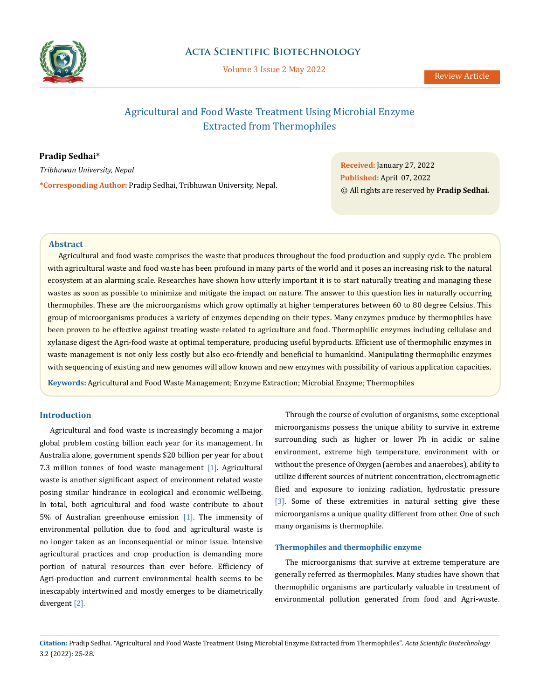

# **Acta Scientific Biotechnology**

Volume 3 Issue 2 May 2022

# Agricultural and Food Waste Treatment Using Microbial Enzyme Extracted from Thermophiles

**Pradip Sedhai\*** *Tribhuwan University, Nepal*

**\*Corresponding Author:** Pradip Sedhai, Tribhuwan University, Nepal.

**Received:** January 27, 2022 **Published:** April 07, 2022 © All rights are reserved by **Pradip Sedhai***.*

#### **Abstract**

Agricultural and food waste comprises the waste that produces throughout the food production and supply cycle. The problem with agricultural waste and food waste has been profound in many parts of the world and it poses an increasing risk to the natural ecosystem at an alarming scale. Researches have shown how utterly important it is to start naturally treating and managing these wastes as soon as possible to minimize and mitigate the impact on nature. The answer to this question lies in naturally occurring thermophiles. These are the microorganisms which grow optimally at higher temperatures between 60 to 80 degree Celsius. This group of microorganisms produces a variety of enzymes depending on their types. Many enzymes produce by thermophiles have been proven to be effective against treating waste related to agriculture and food. Thermophilic enzymes including cellulase and xylanase digest the Agri-food waste at optimal temperature, producing useful byproducts. Efficient use of thermophilic enzymes in waste management is not only less costly but also eco-friendly and beneficial to humankind. Manipulating thermophilic enzymes with sequencing of existing and new genomes will allow known and new enzymes with possibility of various application capacities.

**Keywords:** Agricultural and Food Waste Management; Enzyme Extraction; Microbial Enzyme; Thermophiles

## **Introduction**

Agricultural and food waste is increasingly becoming a major global problem costing billion each year for its management. In Australia alone, government spends \$20 billion per year for about 7.3 million tonnes of food waste management [1]. Agricultural waste is another significant aspect of environment related waste posing similar hindrance in ecological and economic wellbeing. In total, both agricultural and food waste contribute to about 5% of Australian greenhouse emission [1]. The immensity of environmental pollution due to food and agricultural waste is no longer taken as an inconsequential or minor issue. Intensive agricultural practices and crop production is demanding more portion of natural resources than ever before. Efficiency of Agri-production and current environmental health seems to be inescapably intertwined and mostly emerges to be diametrically divergent [2].

Through the course of evolution of organisms, some exceptional microorganisms possess the unique ability to survive in extreme surrounding such as higher or lower Ph in acidic or saline environment, extreme high temperature, environment with or without the presence of Oxygen (aerobes and anaerobes), ability to utilize different sources of nutrient concentration, electromagnetic flied and exposure to ionizing radiation, hydrostatic pressure [3]. Some of these extremities in natural setting give these microorganisms a unique quality different from other. One of such many organisms is thermophile.

### **Thermophiles and thermophilic enzyme**

The microorganisms that survive at extreme temperature are generally referred as thermophiles. Many studies have shown that thermophilic organisms are particularly valuable in treatment of environmental pollution generated from food and Agri-waste.

**Citation:** Pradip Sedhai*.* "Agricultural and Food Waste Treatment Using Microbial Enzyme Extracted from Thermophiles". *Acta Scientific Biotechnology*  3.2 (2022): 25-28.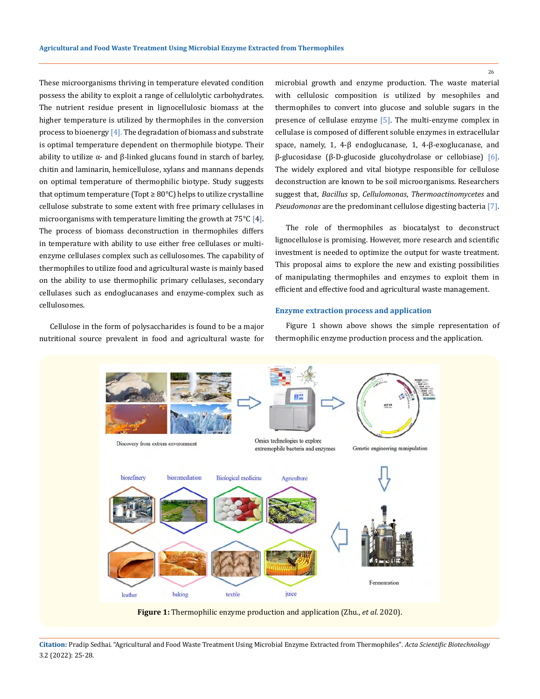These microorganisms thriving in temperature elevated condition possess the ability to exploit a range of cellulolytic carbohydrates. The nutrient residue present in lignocellulosic biomass at the higher temperature is utilized by thermophiles in the conversion process to bioenergy  $[4]$ . The degradation of biomass and substrate is optimal temperature dependent on thermophile biotype. Their ability to utilize  $\alpha$ - and β-linked glucans found in starch of barley, chitin and laminarin, hemicellulose, xylans and mannans depends on optimal temperature of thermophilic biotype. Study suggests that optimum temperature (Topt  $\geq 80^{\circ}$ C) helps to utilize crystalline cellulose substrate to some extent with free primary cellulases in microorganisms with temperature limiting the growth at  $75^{\circ}C$  [4]. The process of biomass deconstruction in thermophiles differs in temperature with ability to use either free cellulases or multienzyme cellulases complex such as cellulosomes. The capability of thermophiles to utilize food and agricultural waste is mainly based on the ability to use thermophilic primary cellulases, secondary cellulases such as endoglucanases and enzyme-complex such as cellulosomes.

Cellulose in the form of polysaccharides is found to be a major nutritional source prevalent in food and agricultural waste for microbial growth and enzyme production. The waste material with cellulosic composition is utilized by mesophiles and thermophiles to convert into glucose and soluble sugars in the presence of cellulase enzyme [5]. The multi-enzyme complex in cellulase is composed of different soluble enzymes in extracellular space, namely, 1, 4-β endoglucanase, 1, 4-β-exoglucanase, and β-glucosidase (β-D-glucoside glucohydrolase or cellobiase) [6]. The widely explored and vital biotype responsible for cellulose deconstruction are known to be soil microorganisms. Researchers suggest that, *Bacillus* sp, *Cellulomonas*, *Thermoactinomycetes* and *Pseudomonas* are the predominant cellulose digesting bacteria [7].

The role of thermophiles as biocatalyst to deconstruct lignocellulose is promising. However, more research and scientific investment is needed to optimize the output for waste treatment. This proposal aims to explore the new and existing possibilities of manipulating thermophiles and enzymes to exploit them in efficient and effective food and agricultural waste management.

#### **Enzyme extraction process and application**

Figure 1 shown above shows the simple representation of thermophilic enzyme production process and the application.



**Figure 1:** Thermophilic enzyme production and application (Zhu., *et al*. 2020).

26

**Citation:** Pradip Sedhai*.* "Agricultural and Food Waste Treatment Using Microbial Enzyme Extracted from Thermophiles". *Acta Scientific Biotechnology*  3.2 (2022): 25-28.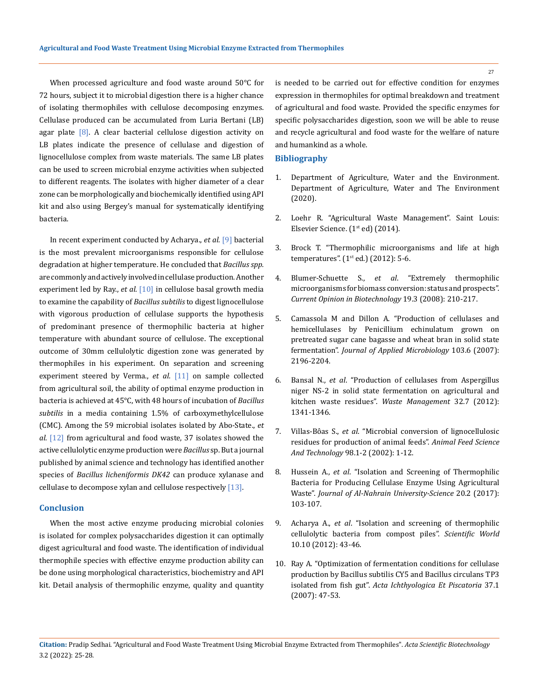When processed agriculture and food waste around 50℃ for 72 hours, subject it to microbial digestion there is a higher chance of isolating thermophiles with cellulose decomposing enzymes. Cellulase produced can be accumulated from Luria Bertani (LB) agar plate [8]. A clear bacterial cellulose digestion activity on LB plates indicate the presence of cellulase and digestion of lignocellulose complex from waste materials. The same LB plates can be used to screen microbial enzyme activities when subjected to different reagents. The isolates with higher diameter of a clear zone can be morphologically and biochemically identified using API kit and also using Bergey's manual for systematically identifying bacteria.

In recent experiment conducted by Acharya., *et al*. [9] bacterial is the most prevalent microorganisms responsible for cellulose degradation at higher temperature. He concluded that *Bacillus spp.*  are commonly and actively involved in cellulase production. Another experiment led by Ray., *et al*. [10] in cellulose basal growth media to examine the capability of *Bacillus subtilis* to digest lignocellulose with vigorous production of cellulase supports the hypothesis of predominant presence of thermophilic bacteria at higher temperature with abundant source of cellulose. The exceptional outcome of 30mm cellulolytic digestion zone was generated by thermophiles in his experiment. On separation and screening experiment steered by Verma., *et al*. [11] on sample collected from agricultural soil, the ability of optimal enzyme production in bacteria is achieved at 45°C, with 48 hours of incubation of *Bacillus subtilis* in a media containing 1.5% of carboxymethylcellulose (CMC). Among the 59 microbial isolates isolated by Abo-State., *et al*. [12] from agricultural and food waste, 37 isolates showed the active cellulolytic enzyme production were *Bacillus* sp. But a journal published by animal science and technology has identified another species of *Bacillus licheniformis DK42* can produce xylanase and cellulase to decompose xylan and cellulose respectively [13].

#### **Conclusion**

When the most active enzyme producing microbial colonies is isolated for complex polysaccharides digestion it can optimally digest agricultural and food waste. The identification of individual thermophile species with effective enzyme production ability can be done using morphological characteristics, biochemistry and API kit. Detail analysis of thermophilic enzyme, quality and quantity

is needed to be carried out for effective condition for enzymes expression in thermophiles for optimal breakdown and treatment of agricultural and food waste. Provided the specific enzymes for specific polysaccharides digestion, soon we will be able to reuse and recycle agricultural and food waste for the welfare of nature and humankind as a whole.

#### **Bibliography**

- 1. Department of Agriculture, Water and the Environment. Department of Agriculture, Water and The Environment (2020).
- 2. Loehr R. "Agricultural Waste Management". Saint Louis: Elsevier Science. (1<sup>st</sup> ed) (2014).
- 3. Brock T. "Thermophilic microorganisms and life at high temperatures".  $(1<sup>st</sup> ed.)$   $(2012): 5-6.$
- 4. Blumer-Schuette S., *et al*[. "Extremely thermophilic](https://pubmed.ncbi.nlm.nih.gov/18524567/)  [microorganisms for biomass conversion: status and prospects".](https://pubmed.ncbi.nlm.nih.gov/18524567/)  *[Current Opinion in Biotechnology](https://pubmed.ncbi.nlm.nih.gov/18524567/)* 19.3 (2008): 210-217.
- 5. [Camassola M and Dillon A. "Production of cellulases and](https://sfamjournals.onlinelibrary.wiley.com/doi/10.1111/j.1365-2672.2007.03458.x)  [hemicellulases by Penicillium echinulatum grown on](https://sfamjournals.onlinelibrary.wiley.com/doi/10.1111/j.1365-2672.2007.03458.x)  [pretreated sugar cane bagasse and wheat bran in solid state](https://sfamjournals.onlinelibrary.wiley.com/doi/10.1111/j.1365-2672.2007.03458.x)  fermentation". *[Journal of Applied Microbiology](https://sfamjournals.onlinelibrary.wiley.com/doi/10.1111/j.1365-2672.2007.03458.x)* 103.6 (2007): [2196-2204.](https://sfamjournals.onlinelibrary.wiley.com/doi/10.1111/j.1365-2672.2007.03458.x)
- 6. Bansal N., *et al*[. "Production of cellulases from Aspergillus](https://www.sciencedirect.com/science/article/abs/pii/S0956053X1200089X)  [niger NS-2 in solid state fermentation on agricultural and](https://www.sciencedirect.com/science/article/abs/pii/S0956053X1200089X)  [kitchen waste residues".](https://www.sciencedirect.com/science/article/abs/pii/S0956053X1200089X) *Waste Management* 32.7 (2012): [1341-1346.](https://www.sciencedirect.com/science/article/abs/pii/S0956053X1200089X)
- 7. Villas-Bôas S., *et al*[. "Microbial conversion of lignocellulosic](https://www.researchgate.net/publication/224893507_Microbial_conversion_of_lignocellulosic_residues_for_production_of_animal_feeds)  [residues for production of animal feeds".](https://www.researchgate.net/publication/224893507_Microbial_conversion_of_lignocellulosic_residues_for_production_of_animal_feeds) *Animal Feed Science And Technology* [98.1-2 \(2002\): 1-12.](https://www.researchgate.net/publication/224893507_Microbial_conversion_of_lignocellulosic_residues_for_production_of_animal_feeds)
- 8. Hussein A., *et al*[. "Isolation and Screening of Thermophilic](https://anjs.edu.iq/index.php/anjs/article/view/86/58)  [Bacteria for Producing Cellulase Enzyme Using Agricultural](https://anjs.edu.iq/index.php/anjs/article/view/86/58)  Waste". *[Journal of Al-Nahrain University-Science](https://anjs.edu.iq/index.php/anjs/article/view/86/58)* 20.2 (2017): [103-107.](https://anjs.edu.iq/index.php/anjs/article/view/86/58)
- 9. Acharya A., *et al*[. "Isolation and screening of thermophilic](https://www.nepjol.info/index.php/SW/article/view/6861)  [cellulolytic bacteria from compost piles".](https://www.nepjol.info/index.php/SW/article/view/6861) *Scientific World* [10.10 \(2012\): 43-46.](https://www.nepjol.info/index.php/SW/article/view/6861)
- 10. [Ray A. "Optimization of fermentation conditions for cellulase](https://go.gale.com/ps/i.do?p=AONE&u=googlescholar&id=GALE|A614683855&v=2.1&it=r&sid=AONE&asid=7a327c6e)  [production by Bacillus subtilis CY5 and Bacillus circulans TP3](https://go.gale.com/ps/i.do?p=AONE&u=googlescholar&id=GALE|A614683855&v=2.1&it=r&sid=AONE&asid=7a327c6e)  isolated from fish gut". *[Acta Ichthyologica Et Piscatoria](https://go.gale.com/ps/i.do?p=AONE&u=googlescholar&id=GALE|A614683855&v=2.1&it=r&sid=AONE&asid=7a327c6e)* 37.1 [\(2007\): 47-53.](https://go.gale.com/ps/i.do?p=AONE&u=googlescholar&id=GALE|A614683855&v=2.1&it=r&sid=AONE&asid=7a327c6e)

27

**Citation:** Pradip Sedhai*.* "Agricultural and Food Waste Treatment Using Microbial Enzyme Extracted from Thermophiles". *Acta Scientific Biotechnology*  3.2 (2022): 25-28.